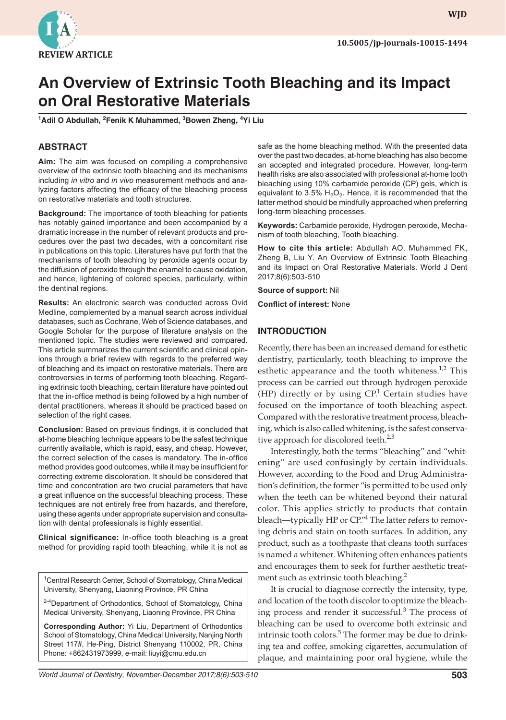

**wjd WJD**

# **An Overview of Extrinsic Tooth Bleaching and its Impact on Oral Restorative Materials**

**1 Adil O Abdullah, 2 Fenik K Muhammed, 3 Bowen Zheng, 4 Yi Liu**

## **ABSTRACT**

**Aim:** The aim was focused on compiling a comprehensive overview of the extrinsic tooth bleaching and its mechanisms including *in vitro* and *in vivo* measurement methods and analyzing factors affecting the efficacy of the bleaching process on restorative materials and tooth structures.

**Background:** The importance of tooth bleaching for patients has notably gained importance and been accompanied by a dramatic increase in the number of relevant products and procedures over the past two decades, with a concomitant rise in publications on this topic. Literatures have put forth that the mechanisms of tooth bleaching by peroxide agents occur by the diffusion of peroxide through the enamel to cause oxidation, and hence, lightening of colored species, particularly, within the dentinal regions.

**Results:** An electronic search was conducted across Ovid Medline, complemented by a manual search across individual databases, such as Cochrane, Web of Science databases, and Google Scholar for the purpose of literature analysis on the mentioned topic. The studies were reviewed and compared. This article summarizes the current scientific and clinical opinions through a brief review with regards to the preferred way of bleaching and its impact on restorative materials. There are controversies in terms of performing tooth bleaching. Regarding extrinsic tooth bleaching, certain literature have pointed out that the in-office method is being followed by a high number of dental practitioners, whereas it should be practiced based on selection of the right cases.

**Conclusion:** Based on previous findings, it is concluded that at-home bleaching technique appears to be the safest technique currently available, which is rapid, easy, and cheap. However, the correct selection of the cases is mandatory. The in-office method provides good outcomes, while it may be insufficient for correcting extreme discoloration. It should be considered that time and concentration are two crucial parameters that have a great influence on the successful bleaching process. These techniques are not entirely free from hazards, and therefore, using these agents under appropriate supervision and consultation with dental professionals is highly essential.

**Clinical significance:** In-office tooth bleaching is a great method for providing rapid tooth bleaching, while it is not as

<sup>1</sup>Central Research Center, School of Stomatology, China Medical University, Shenyang, Liaoning Province, PR China

<sup>2-4</sup>Department of Orthodontics, School of Stomatology, China Medical University, Shenyang, Liaoning Province, PR China

**Corresponding Author:** Yi Liu, Department of Orthodontics School of Stomatology, China Medical University, Nanjing North Street 117#, He-Ping, District Shenyang 110002, PR, China Phone: +862431973999, e-mail: liuyi@cmu.edu.cn

safe as the home bleaching method. With the presented data over the past two decades, at-home bleaching has also become an accepted and integrated procedure. However, long-term health risks are also associated with professional at-home tooth bleaching using 10% carbamide peroxide (CP) gels, which is equivalent to 3.5%  $H_2O_2$ . Hence, it is recommended that the latter method should be mindfully approached when preferring long-term bleaching processes.

**Keywords:** Carbamide peroxide, Hydrogen peroxide, Mechanism of tooth bleaching, Tooth bleaching.

**How to cite this article:** Abdullah AO, Muhammed FK, Zheng B, Liu Y. An Overview of Extrinsic Tooth Bleaching and its Impact on Oral Restorative Materials. World J Dent 2017;8(6):503-510

**Source of support:** Nil

**Conflict of interest:** None

#### **INTRODUCTION**

Recently, there has been an increased demand for esthetic dentistry, particularly, tooth bleaching to improve the esthetic appearance and the tooth whiteness. $1,2$  This process can be carried out through hydrogen peroxide (HP) directly or by using  $\mathbb{CP}^1$  Certain studies have focused on the importance of tooth bleaching aspect. Compared with the restorative treatment process, bleaching, which is also called whitening, is the safest conservative approach for discolored teeth. $2,3$ 

Interestingly, both the terms "bleaching" and "whitening" are used confusingly by certain individuals. However, according to the Food and Drug Administration's definition, the former "is permitted to be used only when the teeth can be whitened beyond their natural color. This applies strictly to products that contain bleach—typically HP or CP."<sup>4</sup> The latter refers to removing debris and stain on tooth surfaces. In addition, any product, such as a toothpaste that cleans tooth surfaces is named a whitener. Whitening often enhances patients and encourages them to seek for further aesthetic treatment such as extrinsic tooth bleaching.<sup>2</sup>

It is crucial to diagnose correctly the intensity, type, and location of the tooth discolor to optimize the bleaching process and render it successful.<sup>3</sup> The process of bleaching can be used to overcome both extrinsic and intrinsic tooth colors.<sup>5</sup> The former may be due to drinking tea and coffee, smoking cigarettes, accumulation of plaque, and maintaining poor oral hygiene, while the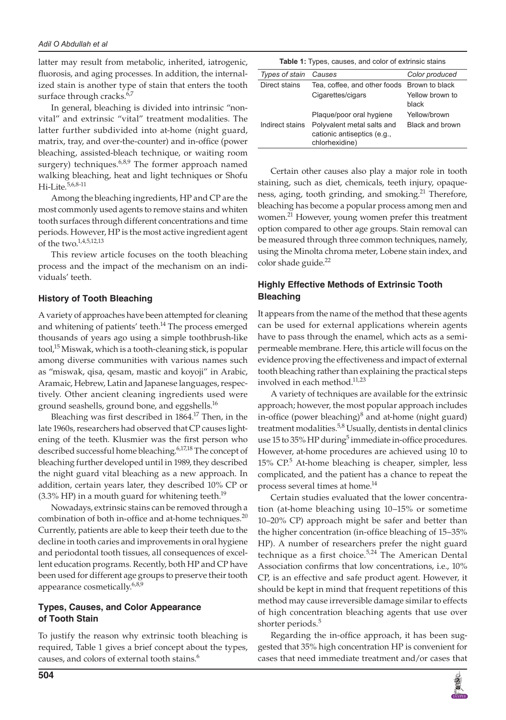latter may result from metabolic, inherited, iatrogenic, fluorosis, and aging processes. In addition, the internalized stain is another type of stain that enters the tooth surface through cracks. $6,7$ 

In general, bleaching is divided into intrinsic "nonvital" and extrinsic "vital" treatment modalities. The latter further subdivided into at-home (night guard, matrix, tray, and over-the-counter) and in-office (power bleaching, assisted-bleach technique, or waiting room surgery) techniques. $6,8,9$  The former approach named walking bleaching, heat and light techniques or Shofu Hi-Lite.<sup>5,6,8-11</sup>

Among the bleaching ingredients, HP and CP are the most commonly used agents to remove stains and whiten tooth surfaces through different concentrations and time periods. However, HP is the most active ingredient agent of the two.1,4,5,12,13

This review article focuses on the tooth bleaching process and the impact of the mechanism on an individuals' teeth.

#### **History of Tooth Bleaching**

A variety of approaches have been attempted for cleaning and whitening of patients' teeth.<sup>14</sup> The process emerged thousands of years ago using a simple toothbrush-like tool,<sup>15</sup> Miswak, which is a tooth-cleaning stick, is popular among diverse communities with various names such as "miswak, qisa, qesam, mastic and koyoji" in Arabic, Aramaic, Hebrew, Latin and Japanese languages, respectively. Other ancient cleaning ingredients used were ground seashells, ground bone, and eggshells.<sup>16</sup>

Bleaching was first described in 1864.<sup>17</sup> Then, in the late 1960s, researchers had observed that CP causes lightening of the teeth. Klusmier was the first person who described successful home bleaching.<sup>6,17,18</sup> The concept of bleaching further developed until in 1989, they described the night guard vital bleaching as a new approach. In addition, certain years later, they described 10% CP or  $(3.3\%$  HP) in a mouth guard for whitening teeth.<sup>19</sup>

Nowadays, extrinsic stains can be removed through a combination of both in-office and at-home techniques. $^{20}$ Currently, patients are able to keep their teeth due to the decline in tooth caries and improvements in oral hygiene and periodontal tooth tissues, all consequences of excellent education programs. Recently, both HP and CP have been used for different age groups to preserve their tooth appearance cosmetically.<sup>6,8,9</sup>

## **Types, Causes, and Color Appearance of Tooth Stain**

To justify the reason why extrinsic tooth bleaching is required, Table 1 gives a brief concept about the types, causes, and colors of external tooth stains.<sup>6</sup>

| Types of stain  | Causes                                                                      | Color produced           |
|-----------------|-----------------------------------------------------------------------------|--------------------------|
| Direct stains   | Tea, coffee, and other foods Brown to black                                 |                          |
|                 | Cigarettes/cigars                                                           | Yellow brown to<br>black |
|                 | Plaque/poor oral hygiene                                                    | Yellow/brown             |
| Indirect stains | Polyvalent metal salts and<br>cationic antiseptics (e.g.,<br>chlorhexidine) | Black and brown          |

Certain other causes also play a major role in tooth staining, such as diet, chemicals, teeth injury, opaqueness, aging, tooth grinding, and smoking.<sup>21</sup> Therefore, bleaching has become a popular process among men and women.<sup>21</sup> However, young women prefer this treatment option compared to other age groups. Stain removal can be measured through three common techniques, namely, using the Minolta chroma meter, Lobene stain index, and color shade guide.<sup>22</sup>

## **Highly Effective Methods of Extrinsic Tooth Bleaching**

It appears from the name of the method that these agents can be used for external applications wherein agents have to pass through the enamel, which acts as a semipermeable membrane. Here, this article will focus on the evidence proving the effectiveness and impact of external tooth bleaching rather than explaining the practical steps involved in each method.<sup>11,23</sup>

A variety of techniques are available for the extrinsic approach; however, the most popular approach includes in-office (power bleaching) $\delta$  and at-home (night guard) treatment modalities.<sup>5,8</sup> Usually, dentists in dental clinics use 15 to 35% HP during<sup>5</sup> immediate in-office procedures. However, at-home procedures are achieved using 10 to 15% CP.<sup>5</sup> At-home bleaching is cheaper, simpler, less complicated, and the patient has a chance to repeat the process several times at home.<sup>14</sup>

Certain studies evaluated that the lower concentration (at-home bleaching using 10–15% or sometime 10–20% CP) approach might be safer and better than the higher concentration (in-office bleaching of 15–35% HP). A number of researchers prefer the night guard technique as a first choice. $5,24$  The American Dental Association confirms that low concentrations, i.e., 10% CP, is an effective and safe product agent. However, it should be kept in mind that frequent repetitions of this method may cause irreversible damage similar to effects of high concentration bleaching agents that use over shorter periods.<sup>5</sup>

Regarding the in-office approach, it has been suggested that 35% high concentration HP is convenient for cases that need immediate treatment and/or cases that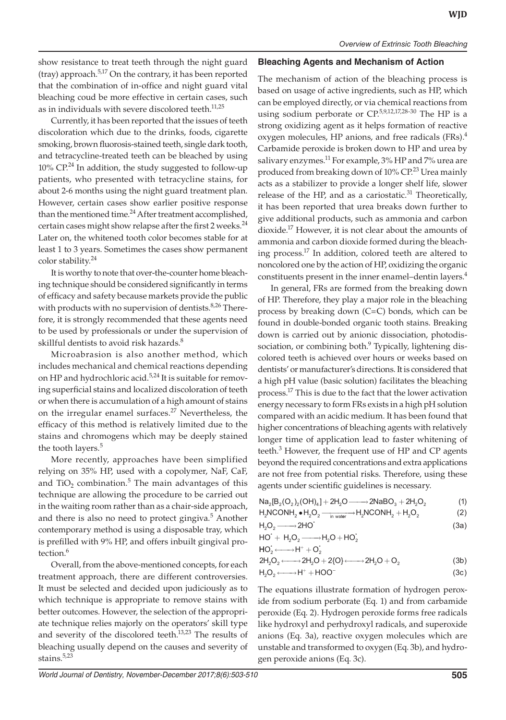show resistance to treat teeth through the night guard (tray) approach.<sup>5,17</sup> On the contrary, it has been reported that the combination of in-office and night guard vital bleaching coud be more effective in certain cases, such as in individuals with severe discolored teeth. $11,25$ 

Currently, it has been reported that the issues of teeth discoloration which due to the drinks, foods, cigarette smoking, brown fluorosis-stained teeth, single dark tooth, and tetracycline-treated teeth can be bleached by using  $10\%$  CP.<sup>24</sup> In addition, the study suggested to follow-up patients, who presented with tetracycline stains, for about 2-6 months using the night guard treatment plan. However, certain cases show earlier positive response than the mentioned time.<sup>24</sup> After treatment accomplished, certain cases might show relapse after the first 2 weeks.<sup>24</sup> Later on, the whitened tooth color becomes stable for at least 1 to 3 years. Sometimes the cases show permanent color stability.<sup>24</sup>

It is worthy to note that over-the-counter home bleaching technique should be considered significantly in terms of efficacy and safety because markets provide the public with products with no supervision of dentists.<sup>8,26</sup> Therefore, it is strongly recommended that these agents need to be used by professionals or under the supervision of skillful dentists to avoid risk hazards.<sup>8</sup>

Microabrasion is also another method, which includes mechanical and chemical reactions depending on HP and hydrochloric acid.<sup>5,24</sup> It is suitable for removing superficial stains and localized discoloration of teeth or when there is accumulation of a high amount of stains on the irregular enamel surfaces.<sup>27</sup> Nevertheless, the efficacy of this method is relatively limited due to the stains and chromogens which may be deeply stained the tooth layers.<sup>5</sup>

More recently, approaches have been simplified relying on 35% HP, used with a copolymer, NaF, CaF, and  $TiO<sub>2</sub>$  combination.<sup>5</sup> The main advantages of this technique are allowing the procedure to be carried out in the waiting room rather than as a chair-side approach, and there is also no need to protect gingiva.<sup>5</sup> Another contemporary method is using a disposable tray, which is prefilled with 9% HP, and offers inbuilt gingival protection.<sup>6</sup>

Overall, from the above-mentioned concepts, for each treatment approach, there are different controversies. It must be selected and decided upon judiciously as to which technique is appropriate to remove stains with better outcomes. However, the selection of the appropriate technique relies majorly on the operators' skill type and severity of the discolored teeth.<sup>13,23</sup> The results of bleaching usually depend on the causes and severity of stains. $5,23$ 

#### **Bleaching Agents and Mechanism of Action**

The mechanism of action of the bleaching process is based on usage of active ingredients, such as HP, which can be employed directly, or via chemical reactions from using sodium perborate or  $\mathbb{CP}^{5,9,12,17,28-30}$  The HP is a strong oxidizing agent as it helps formation of reactive oxygen molecules, HP anions, and free radicals (FRs).<sup>4</sup> Carbamide peroxide is broken down to HP and urea by salivary enzymes.<sup>11</sup> For example,  $3\%$  HP and  $7\%$  urea are produced from breaking down of  $10\%$  CP.<sup>23</sup> Urea mainly acts as a stabilizer to provide a longer shelf life, slower release of the HP, and as a cariostatic. $31$  Theoretically, it has been reported that urea breaks down further to give additional products, such as ammonia and carbon dioxide.17 However, it is not clear about the amounts of ammonia and carbon dioxide formed during the bleaching process.<sup>17</sup> In addition, colored teeth are altered to noncolored one by the action of HP, oxidizing the organic constituents present in the inner enamel–dentin layers. $4$ 

In general, FRs are formed from the breaking down of HP. Therefore, they play a major role in the bleaching process by breaking down (C=C) bonds, which can be found in double-bonded organic tooth stains. Breaking down is carried out by anionic dissociation, photodissociation, or combining both.<sup>9</sup> Typically, lightening discolored teeth is achieved over hours or weeks based on dentists' or manufacturer's directions. It is considered that a high pH value (basic solution) facilitates the bleaching process.17 This is due to the fact that the lower activation energy necessary to form FRs exists in a high pH solution compared with an acidic medium. It has been found that higher concentrations of bleaching agents with relatively longer time of application lead to faster whitening of teeth.<sup>3</sup> However, the frequent use of HP and CP agents beyond the required concentrations and extra applications are not free from potential risks. Therefore, using these agents under scientific guidelines is necessary.

| $\text{Na}_2\text{[B}_2\text{(O}_2)_2\text{(OH)}_4\text{]} + 2\text{H}_2\text{O} \longrightarrow 2\text{NaBO}_3 + 2\text{H}_2\text{O}_2$ | (1) |
|------------------------------------------------------------------------------------------------------------------------------------------|-----|
|------------------------------------------------------------------------------------------------------------------------------------------|-----|

$$
H_2NCONH_2 \bullet H_2O_2 \xrightarrow{\text{in water}} H_2NCONH_2 + H_2O_2
$$
 (2)  
\n
$$
H_2O_2 \xrightarrow{\text{in water}} H_2NCONH_2 + H_2O_2
$$
 (3a)

$$
H_2O_2 \longrightarrow 2HO^* \tag{3a}
$$

$$
HO^* + H_2O_2 \longrightarrow H_2O + HO_2^*
$$
  

$$
HO_2^* \longleftarrow H^* + O_2^*
$$

$$
2H_2O_2 \longleftrightarrow 2H_2O + 2\{O\} \longleftrightarrow 2H_2O + O_2 \tag{3b}
$$

$$
H_2O_2 \longleftrightarrow H^+ + HOO^-\tag{3c}
$$

The equations illustrate formation of hydrogen peroxide from sodium perborate (Eq. 1) and from carbamide peroxide (Eq. 2). Hydrogen peroxide forms free radicals like hydroxyl and perhydroxyl radicals, and superoxide anions (Eq. 3a), reactive oxygen molecules which are unstable and transformed to oxygen (Eq. 3b), and hydrogen peroxide anions (Eq. 3c).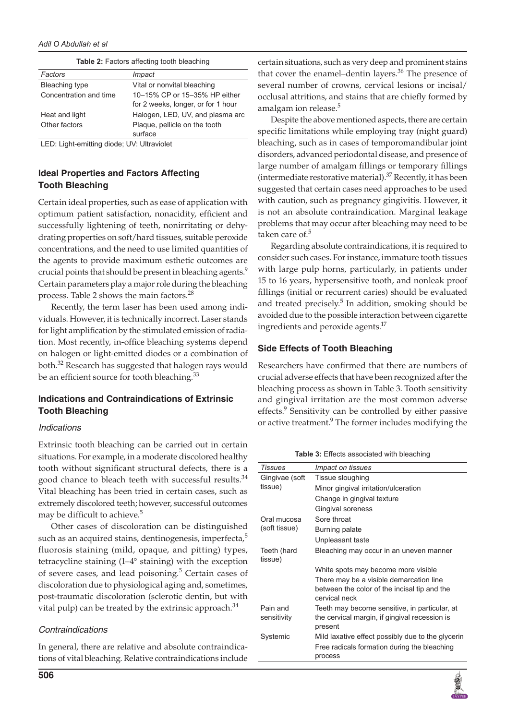| Factors                | Impact                             |
|------------------------|------------------------------------|
| Bleaching type         | Vital or nonvital bleaching        |
| Concentration and time | 10-15% CP or 15-35% HP either      |
|                        | for 2 weeks, longer, or for 1 hour |
| Heat and light         | Halogen, LED, UV, and plasma arc   |
| Other factors          | Plaque, pellicle on the tooth      |
|                        | surface                            |

**Table 2:** Factors affecting tooth bleaching

LED: Light-emitting diode; UV: Ultraviolet

# **Ideal Properties and Factors Affecting Tooth Bleaching**

Certain ideal properties, such as ease of application with optimum patient satisfaction, nonacidity, efficient and successfully lightening of teeth, nonirritating or dehydrating properties on soft/hard tissues, suitable peroxide concentrations, and the need to use limited quantities of the agents to provide maximum esthetic outcomes are crucial points that should be present in bleaching agents.<sup>9</sup> Certain parameters play a major role during the bleaching process. Table 2 shows the main factors.<sup>28</sup>

Recently, the term laser has been used among individuals. However, it is technically incorrect. Laser stands for light amplification by the stimulated emission of radiation. Most recently, in-office bleaching systems depend on halogen or light-emitted diodes or a combination of both.32 Research has suggested that halogen rays would be an efficient source for tooth bleaching.<sup>33</sup>

# **Indications and Contraindications of Extrinsic Tooth Bleaching**

#### *Indications*

Extrinsic tooth bleaching can be carried out in certain situations. For example, in a moderate discolored healthy tooth without significant structural defects, there is a good chance to bleach teeth with successful results.<sup>34</sup> Vital bleaching has been tried in certain cases, such as extremely discolored teeth; however, successful outcomes may be difficult to achieve.<sup>5</sup>

Other cases of discoloration can be distinguished such as an acquired stains, dentinogenesis, imperfecta,<sup>5</sup> fluorosis staining (mild, opaque, and pitting) types, tetracycline staining (1–4° staining) with the exception of severe cases, and lead poisoning.<sup>5</sup> Certain cases of discoloration due to physiological aging and, sometimes, post-traumatic discoloration (sclerotic dentin, but with vital pulp) can be treated by the extrinsic approach. $34$ 

## *Contraindications*

In general, there are relative and absolute contraindications of vital bleaching. Relative contraindications include certain situations, such as very deep and prominent stains that cover the enamel–dentin layers. $36$  The presence of several number of crowns, cervical lesions or incisal/ occlusal attritions, and stains that are chiefly formed by amalgam ion release.<sup>5</sup>

Despite the above mentioned aspects, there are certain specific limitations while employing tray (night guard) bleaching, such as in cases of temporomandibular joint disorders, advanced periodontal disease, and presence of large number of amalgam fillings or temporary fillings (intermediate restorative material). $37$  Recently, it has been suggested that certain cases need approaches to be used with caution, such as pregnancy gingivitis. However, it is not an absolute contraindication. Marginal leakage problems that may occur after bleaching may need to be taken care of.<sup>5</sup>

Regarding absolute contraindications, it is required to consider such cases. For instance, immature tooth tissues with large pulp horns, particularly, in patients under 15 to 16 years, hypersensitive tooth, and nonleak proof fillings (initial or recurrent caries) should be evaluated and treated precisely.<sup>5</sup> In addition, smoking should be avoided due to the possible interaction between cigarette ingredients and peroxide agents.<sup>17</sup>

## **Side Effects of Tooth Bleaching**

Researchers have confirmed that there are numbers of crucial adverse effects that have been recognized after the bleaching process as shown in Table 3. Tooth sensitivity and gingival irritation are the most common adverse effects.<sup>9</sup> Sensitivity can be controlled by either passive or active treatment.<sup>9</sup> The former includes modifying the

**Table 3:** Effects associated with bleaching

| <b>Tissues</b>         | <i>Impact on tissues</i>                                                                                 |
|------------------------|----------------------------------------------------------------------------------------------------------|
| Gingivae (soft         | Tissue sloughing                                                                                         |
| tissue)                | Minor gingival irritation/ulceration                                                                     |
|                        | Change in gingival texture                                                                               |
|                        | Gingival soreness                                                                                        |
| Oral mucosa            | Sore throat                                                                                              |
| (soft tissue)          | Burning palate                                                                                           |
|                        | Unpleasant taste                                                                                         |
| Teeth (hard<br>tissue) | Bleaching may occur in an uneven manner                                                                  |
|                        | White spots may become more visible                                                                      |
|                        | There may be a visible demarcation line<br>between the color of the incisal tip and the<br>cervical neck |
| Pain and               | Teeth may become sensitive, in particular, at                                                            |
| sensitivity            | the cervical margin, if gingival recession is<br>present                                                 |
| Systemic               | Mild laxative effect possibly due to the glycerin                                                        |
|                        | Free radicals formation during the bleaching<br>process                                                  |
|                        |                                                                                                          |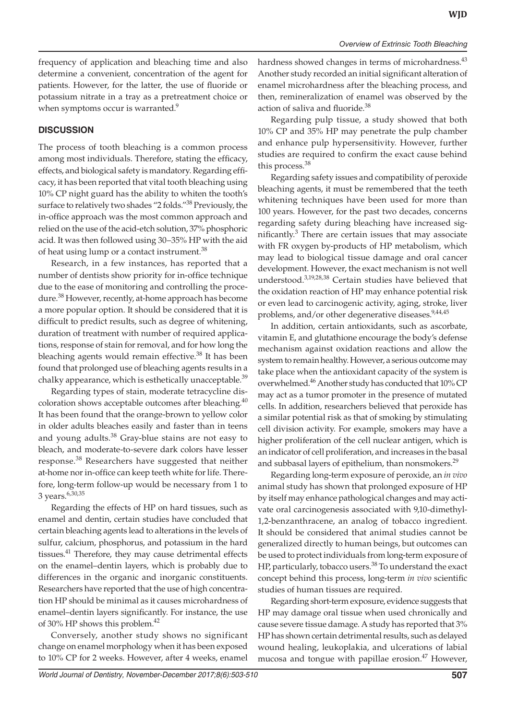frequency of application and bleaching time and also determine a convenient, concentration of the agent for patients. However, for the latter, the use of fluoride or potassium nitrate in a tray as a pretreatment choice or when symptoms occur is warranted.<sup>9</sup>

## **DISCUSSION**

The process of tooth bleaching is a common process among most individuals. Therefore, stating the efficacy, effects, and biological safety is mandatory. Regarding efficacy, it has been reported that vital tooth bleaching using 10% CP night guard has the ability to whiten the tooth's surface to relatively two shades "2 folds."38 Previously, the in-office approach was the most common approach and relied on the use of the acid-etch solution, 37% phosphoric acid. It was then followed using 30–35% HP with the aid of heat using lump or a contact instrument.<sup>38</sup>

Research, in a few instances, has reported that a number of dentists show priority for in-office technique due to the ease of monitoring and controlling the procedure.<sup>38</sup> However, recently, at-home approach has become a more popular option. It should be considered that it is difficult to predict results, such as degree of whitening, duration of treatment with number of required applications, response of stain for removal, and for how long the bleaching agents would remain effective.<sup>38</sup> It has been found that prolonged use of bleaching agents results in a chalky appearance, which is esthetically unacceptable.<sup>39</sup>

Regarding types of stain, moderate tetracycline discoloration shows acceptable outcomes after bleaching. $40$ It has been found that the orange-brown to yellow color in older adults bleaches easily and faster than in teens and young adults. $38$  Gray-blue stains are not easy to bleach, and moderate-to-severe dark colors have lesser response.<sup>38</sup> Researchers have suggested that neither at-home nor in-office can keep teeth white for life. Therefore, long-term follow-up would be necessary from 1 to 3 years.<sup>6,30,35</sup>

Regarding the effects of HP on hard tissues, such as enamel and dentin, certain studies have concluded that certain bleaching agents lead to alterations in the levels of sulfur, calcium, phosphorus, and potassium in the hard tissues.<sup>41</sup> Therefore, they may cause detrimental effects on the enamel–dentin layers, which is probably due to differences in the organic and inorganic constituents. Researchers have reported that the use of high concentration HP should be minimal as it causes microhardness of enamel–dentin layers significantly. For instance, the use of 30% HP shows this problem.<sup>42</sup>

Conversely, another study shows no significant change on enamel morphology when it has been exposed to 10% CP for 2 weeks. However, after 4 weeks, enamel

hardness showed changes in terms of microhardness.<sup>43</sup> Another study recorded an initial significant alteration of enamel microhardness after the bleaching process, and then, remineralization of enamel was observed by the action of saliva and fluoride.<sup>38</sup>

Regarding pulp tissue, a study showed that both 10% CP and 35% HP may penetrate the pulp chamber and enhance pulp hypersensitivity. However, further studies are required to confirm the exact cause behind this process.<sup>38</sup>

Regarding safety issues and compatibility of peroxide bleaching agents, it must be remembered that the teeth whitening techniques have been used for more than 100 years. However, for the past two decades, concerns regarding safety during bleaching have increased significantly. $3$  There are certain issues that may associate with FR oxygen by-products of HP metabolism, which may lead to biological tissue damage and oral cancer development. However, the exact mechanism is not well understood.3,19,28,38 Certain studies have believed that the oxidation reaction of HP may enhance potential risk or even lead to carcinogenic activity, aging, stroke, liver problems, and/or other degenerative diseases.<sup>9,44,45</sup>

In addition, certain antioxidants, such as ascorbate, vitamin E, and glutathione encourage the body's defense mechanism against oxidation reactions and allow the system to remain healthy. However, a serious outcome may take place when the antioxidant capacity of the system is overwhelmed.<sup>46</sup> Another study has conducted that 10% CP may act as a tumor promoter in the presence of mutated cells. In addition, researchers believed that peroxide has a similar potential risk as that of smoking by stimulating cell division activity. For example, smokers may have a higher proliferation of the cell nuclear antigen, which is an indicator of cell proliferation, and increases in the basal and subbasal layers of epithelium, than nonsmokers.<sup>29</sup>

Regarding long-term exposure of peroxide, an *in vivo* animal study has shown that prolonged exposure of HP by itself may enhance pathological changes and may activate oral carcinogenesis associated with 9,10-dimethyl-1,2-benzanthracene, an analog of tobacco ingredient. It should be considered that animal studies cannot be generalized directly to human beings, but outcomes can be used to protect individuals from long-term exposure of HP, particularly, tobacco users.<sup>38</sup> To understand the exact concept behind this process, long-term *in vivo* scientific studies of human tissues are required.

Regarding short-term exposure, evidence suggests that HP may damage oral tissue when used chronically and cause severe tissue damage. A study has reported that 3% HP has shown certain detrimental results, such as delayed wound healing, leukoplakia, and ulcerations of labial mucosa and tongue with papillae erosion.<sup>47</sup> However,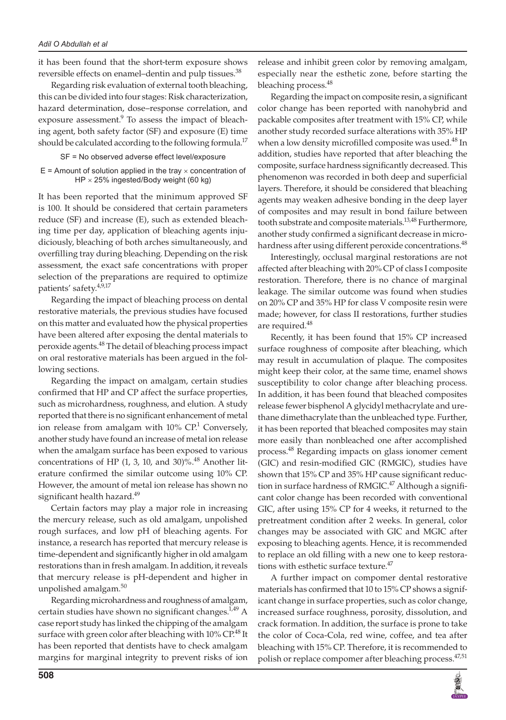it has been found that the short-term exposure shows reversible effects on enamel–dentin and pulp tissues.<sup>38</sup>

Regarding risk evaluation of external tooth bleaching, this can be divided into four stages: Risk characterization, hazard determination, dose–response correlation, and exposure assessment.<sup>9</sup> To assess the impact of bleaching agent, both safety factor (SF) and exposure (E) time should be calculated according to the following formula.<sup>17</sup>

```
SF = No observed adverse effect level/exposure
```
 $E =$  Amount of solution applied in the tray  $\times$  concentration of  $HP \times 25\%$  ingested/Body weight (60 kg)

It has been reported that the minimum approved SF is 100. It should be considered that certain parameters reduce (SF) and increase (E), such as extended bleaching time per day, application of bleaching agents injudiciously, bleaching of both arches simultaneously, and overfilling tray during bleaching. Depending on the risk assessment, the exact safe concentrations with proper selection of the preparations are required to optimize patients' safety.4,9,17

Regarding the impact of bleaching process on dental restorative materials, the previous studies have focused on this matter and evaluated how the physical properties have been altered after exposing the dental materials to peroxide agents.<sup>48</sup> The detail of bleaching process impact on oral restorative materials has been argued in the following sections.

Regarding the impact on amalgam, certain studies confirmed that HP and CP affect the surface properties, such as microhardness, roughness, and elution. A study reported that there is no significant enhancement of metal ion release from amalgam with  $10\%$  CP.<sup>1</sup> Conversely, another study have found an increase of metal ion release when the amalgam surface has been exposed to various concentrations of HP  $(1, 3, 10, \text{ and } 30)\%$ .<sup>48</sup> Another literature confirmed the similar outcome using 10% CP. However, the amount of metal ion release has shown no significant health hazard.<sup>49</sup>

Certain factors may play a major role in increasing the mercury release, such as old amalgam, unpolished rough surfaces, and low pH of bleaching agents. For instance, a research has reported that mercury release is time-dependent and significantly higher in old amalgam restorations than in fresh amalgam. In addition, it reveals that mercury release is pH-dependent and higher in unpolished amalgam.<sup>50</sup>

Regarding microhardness and roughness of amalgam, certain studies have shown no significant changes. $1.49$  A case report study has linked the chipping of the amalgam surface with green color after bleaching with 10% CP.<sup>48</sup> It has been reported that dentists have to check amalgam margins for marginal integrity to prevent risks of ion

release and inhibit green color by removing amalgam, especially near the esthetic zone, before starting the bleaching process.<sup>48</sup>

Regarding the impact on composite resin, a significant color change has been reported with nanohybrid and packable composites after treatment with 15% CP, while another study recorded surface alterations with 35% HP when a low density microfilled composite was used.<sup>48</sup> In addition, studies have reported that after bleaching the composite, surface hardness significantly decreased. This phenomenon was recorded in both deep and superficial layers. Therefore, it should be considered that bleaching agents may weaken adhesive bonding in the deep layer of composites and may result in bond failure between tooth substrate and composite materials.<sup>13,48</sup> Furthermore, another study confirmed a significant decrease in microhardness after using different peroxide concentrations.<sup>48</sup>

Interestingly, occlusal marginal restorations are not affected after bleaching with 20% CP of class I composite restoration. Therefore, there is no chance of marginal leakage. The similar outcome was found when studies on 20% CP and 35% HP for class V composite resin were made; however, for class II restorations, further studies are required.<sup>48</sup>

Recently, it has been found that 15% CP increased surface roughness of composite after bleaching, which may result in accumulation of plaque. The composites might keep their color, at the same time, enamel shows susceptibility to color change after bleaching process. In addition, it has been found that bleached composites release fewer bisphenol A glycidyl methacrylate and urethane dimethacrylate than the unbleached type. Further, it has been reported that bleached composites may stain more easily than nonbleached one after accomplished process.<sup>48</sup> Regarding impacts on glass ionomer cement (GIC) and resin-modified GIC (RMGIC), studies have shown that 15% CP and 35% HP cause significant reduction in surface hardness of RMGIC. $47$  Although a significant color change has been recorded with conventional GIC, after using 15% CP for 4 weeks, it returned to the pretreatment condition after 2 weeks. In general, color changes may be associated with GIC and MGIC after exposing to bleaching agents. Hence, it is recommended to replace an old filling with a new one to keep restorations with esthetic surface texture.<sup>47</sup>

A further impact on compomer dental restorative materials has confirmed that 10 to 15% CP shows a significant change in surface properties, such as color change, increased surface roughness, porosity, dissolution, and crack formation. In addition, the surface is prone to take the color of Coca-Cola, red wine, coffee, and tea after bleaching with 15% CP. Therefore, it is recommended to polish or replace compomer after bleaching process.<sup>47,51</sup>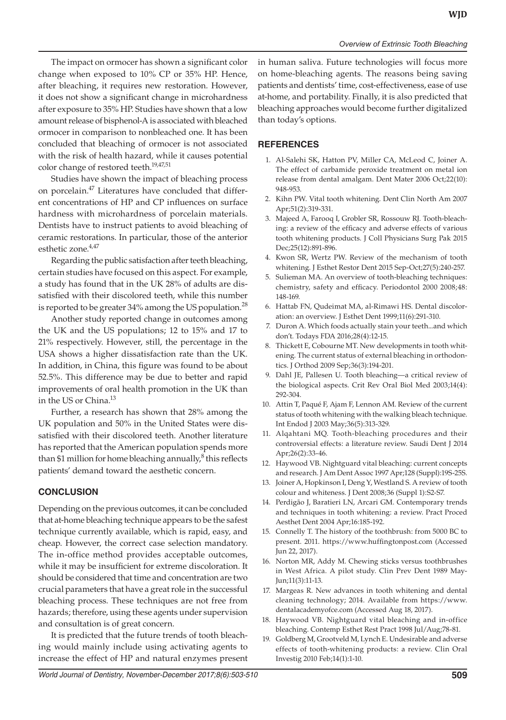The impact on ormocer has shown a significant color change when exposed to 10% CP or 35% HP. Hence, after bleaching, it requires new restoration. However, it does not show a significant change in microhardness after exposure to 35% HP. Studies have shown that a low amount release of bisphenol-A is associated with bleached ormocer in comparison to nonbleached one. It has been concluded that bleaching of ormocer is not associated with the risk of health hazard, while it causes potential color change of restored teeth.19,47,51

Studies have shown the impact of bleaching process on porcelain.47 Literatures have concluded that different concentrations of HP and CP influences on surface hardness with microhardness of porcelain materials. Dentists have to instruct patients to avoid bleaching of ceramic restorations. In particular, those of the anterior esthetic zone.<sup>4,47</sup>

Regarding the public satisfaction after teeth bleaching, certain studies have focused on this aspect. For example, a study has found that in the UK 28% of adults are dissatisfied with their discolored teeth, while this number is reported to be greater 34% among the US population.<sup>28</sup>

Another study reported change in outcomes among the UK and the US populations; 12 to 15% and 17 to 21% respectively. However, still, the percentage in the USA shows a higher dissatisfaction rate than the UK. In addition, in China, this figure was found to be about 52.5%. This difference may be due to better and rapid improvements of oral health promotion in the UK than in the US or China.<sup>13</sup>

Further, a research has shown that 28% among the UK population and 50% in the United States were dissatisfied with their discolored teeth. Another literature has reported that the American population spends more than \$1 million for home bleaching annually, $8$  this reflects patients' demand toward the aesthetic concern.

## **CONCLUSION**

Depending on the previous outcomes, it can be concluded that at-home bleaching technique appears to be the safest technique currently available, which is rapid, easy, and cheap. However, the correct case selection mandatory. The in-office method provides acceptable outcomes, while it may be insufficient for extreme discoloration. It should be considered that time and concentration are two crucial parameters that have a great role in the successful bleaching process. These techniques are not free from hazards; therefore, using these agents under supervision and consultation is of great concern.

It is predicted that the future trends of tooth bleaching would mainly include using activating agents to increase the effect of HP and natural enzymes present

in human saliva. Future technologies will focus more on home-bleaching agents. The reasons being saving patients and dentists' time, cost-effectiveness, ease of use at-home, and portability. Finally, it is also predicted that bleaching approaches would become further digitalized than today's options.

# **REFERENCES**

- 1. Al-Salehi SK, Hatton PV, Miller CA, McLeod C, Joiner A. The effect of carbamide peroxide treatment on metal ion release from dental amalgam. Dent Mater 2006 Oct;22(10): 948-953.
- 2. Kihn PW. Vital tooth whitening. Dent Clin North Am 2007 Apr;51(2):319-331.
- 3. Majeed A, Farooq I, Grobler SR, Rossouw RJ. Tooth-bleaching: a review of the efficacy and adverse effects of various tooth whitening products. J Coll Physicians Surg Pak 2015 Dec;25(12):891-896.
- 4. Kwon SR, Wertz PW. Review of the mechanism of tooth whitening. J Esthet Restor Dent 2015 Sep-Oct;27(5):240-257.
- 5. Sulieman MA. An overview of tooth-bleaching techniques: chemistry, safety and efficacy. Periodontol 2000 2008;48: 148-169.
- 6. Hattab FN, Qudeimat MA, al-Rimawi HS. Dental discoloration: an overview. J Esthet Dent 1999;11(6):291-310.
- 7. Duron A. Which foods actually stain your teeth...and which don't. Todays FDA 2016;28(4):12-15.
- 8. Thickett E, Cobourne MT. New developments in tooth whitening. The current status of external bleaching in orthodontics. J Orthod 2009 Sep;36(3):194-201.
- 9. Dahl JE, Pallesen U. Tooth bleaching—a critical review of the biological aspects. Crit Rev Oral Biol Med 2003;14(4): 292-304.
- 10. Attin T, Paqué F, Ajam F, Lennon AM. Review of the current status of tooth whitening with the walking bleach technique. Int Endod J 2003 May;36(5):313-329.
- 11. Alqahtani MQ. Tooth-bleaching procedures and their controversial effects: a literature review. Saudi Dent J 2014 Apr;26(2):33-46.
- 12. Haywood VB. Nightguard vital bleaching: current concepts and research. J Am Dent Assoc 1997 Apr;128 (Suppl):19S-25S.
- 13. Joiner A, Hopkinson I, Deng Y, Westland S. A review of tooth colour and whiteness. J Dent 2008;36 (Suppl 1):S2-S7.
- 14. Perdigão J, Baratieri LN, Arcari GM. Contemporary trends and techniques in tooth whitening: a review. Pract Proced Aesthet Dent 2004 Apr;16:185-192.
- 15. Connelly T. The history of the toothbrush: from 5000 BC to present. 2011. https://www.huffingtonpost.com (Accessed Jun 22, 2017).
- 16. Norton MR, Addy M. Chewing sticks versus toothbrushes in West Africa. A pilot study. Clin Prev Dent 1989 May-Jun;11(3):11-13.
- 17. Margeas R. New advances in tooth whitening and dental cleaning technology; 2014. Available from https://www. dentalacademyofce.com (Accessed Aug 18, 2017).
- 18. Haywood VB. Nightguard vital bleaching and in-office bleaching. Contemp Esthet Rest Pract 1998 Jul/Aug;78-81.
- 19. Goldberg M, Grootveld M, Lynch E. Undesirable and adverse effects of tooth-whitening products: a review. Clin Oral Investig 2010 Feb;14(1):1-10.